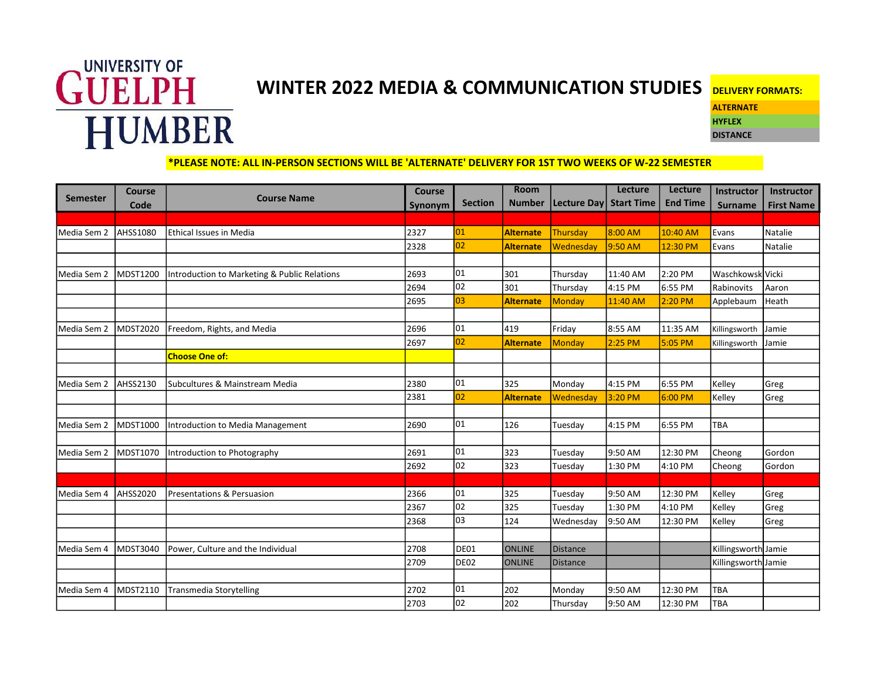

## WINTER 2022 MEDIA & COMMUNICATION STUDIES DELIVERY FORMATS:

**ALTERNATE** HYFLEX **DISTANCE** 

\*PLEASE NOTE: ALL IN-PERSON SECTIONS WILL BE 'ALTERNATE' DELIVERY FOR 1ST TWO WEEKS OF W-22 SEMESTER

|                 | <b>Course</b>   | <b>Course Name</b>                           | <b>Course</b> |                | <b>Room</b>      |                        | <b>Lecture</b> | Lecture         | Instructor          | <b>Instructor</b> |
|-----------------|-----------------|----------------------------------------------|---------------|----------------|------------------|------------------------|----------------|-----------------|---------------------|-------------------|
| <b>Semester</b> | Code            |                                              | Synonym       | <b>Section</b> | <b>Number</b>    | Lecture Day Start Time |                | <b>End Time</b> | <b>Surname</b>      | <b>First Name</b> |
|                 |                 |                                              |               |                |                  |                        |                |                 |                     |                   |
| Media Sem 2     | AHSS1080        | <b>Ethical Issues in Media</b>               | 2327          | 01             | <b>Alternate</b> | Thursday               | 8:00 AM        | 10:40 AM        | Evans               | Natalie           |
|                 |                 |                                              | 2328          | 02             | <b>Alternate</b> | Wednesday              | 9:50 AM        | 12:30 PM        | Evans               | Natalie           |
|                 |                 |                                              |               |                |                  |                        |                |                 |                     |                   |
| Media Sem 2     | MDST1200        | Introduction to Marketing & Public Relations | 2693          | 101            | 301              | Thursday               | 11:40 AM       | 2:20 PM         | Waschkowsk Vicki    |                   |
|                 |                 |                                              | 2694          | $ 02\rangle$   | 301              | Thursday               | 4:15 PM        | 6:55 PM         | Rabinovits          | Aaron             |
|                 |                 |                                              | 2695          | 03             | <b>Alternate</b> | Monday                 | 11:40 AM       | 2:20 PM         | Applebaum           | Heath             |
|                 |                 |                                              |               |                |                  |                        |                |                 |                     |                   |
| Media Sem 2     | MDST2020        | Freedom, Rights, and Media                   | 2696          | 01             | 419              | Friday                 | 8:55 AM        | 11:35 AM        | Killingsworth       | Jamie             |
|                 |                 |                                              | 2697          | 02             | <b>Alternate</b> | Monday                 | $2:25$ PM      | 5:05 PM         | Killingsworth       | Jamie             |
|                 |                 | <b>Choose One of:</b>                        |               |                |                  |                        |                |                 |                     |                   |
|                 |                 |                                              |               |                |                  |                        |                |                 |                     |                   |
| Media Sem 2     | <b>AHSS2130</b> | Subcultures & Mainstream Media               | 2380          | 01             | 325              | Monday                 | 4:15 PM        | 6:55 PM         | Kelley              | Greg              |
|                 |                 |                                              | 2381          | 02             | <b>Alternate</b> | Wednesday              | 3:20 PM        | 6:00 PM         | Kelley              | Greg              |
|                 |                 |                                              |               |                |                  |                        |                |                 |                     |                   |
| Media Sem 2     | MDST1000        | Introduction to Media Management             | 2690          | 01             | 126              | Tuesday                | 4:15 PM        | 6:55 PM         | <b>TBA</b>          |                   |
|                 |                 |                                              |               |                |                  |                        |                |                 |                     |                   |
| Media Sem 2     | MDST1070        | Introduction to Photography                  | 2691          | 01             | 323              | Tuesday                | 9:50 AM        | 12:30 PM        | Cheong              | Gordon            |
|                 |                 |                                              | 2692          | 02             | 323              | Tuesday                | 1:30 PM        | 4:10 PM         | Cheong              | Gordon            |
|                 |                 |                                              |               |                |                  |                        |                |                 |                     |                   |
| Media Sem 4     | <b>AHSS2020</b> | Presentations & Persuasion                   | 2366          | 01             | 325              | Tuesday                | 9:50 AM        | 12:30 PM        | Kelley              | Greg              |
|                 |                 |                                              | 2367          | 02             | 325              | Tuesday                | 1:30 PM        | 4:10 PM         | Kelley              | Greg              |
|                 |                 |                                              | 2368          | lоз            | 124              | Wednesday              | 9:50 AM        | 12:30 PM        | Kelley              | Greg              |
|                 |                 |                                              |               |                |                  |                        |                |                 |                     |                   |
| Media Sem 4     | MDST3040        | Power, Culture and the Individual            | 2708          | DE01           | <b>ONLINE</b>    | <b>Distance</b>        |                |                 | Killingsworth Jamie |                   |
|                 |                 |                                              | 2709          | DE02           | <b>ONLINE</b>    | <b>Distance</b>        |                |                 | Killingsworth Jamie |                   |
|                 |                 |                                              |               |                |                  |                        |                |                 |                     |                   |
| Media Sem 4     | MDST2110        | <b>Transmedia Storytelling</b>               | 2702          | 01             | 202              | Monday                 | 9:50 AM        | 12:30 PM        | TBA                 |                   |
|                 |                 |                                              | 2703          | $ 02\rangle$   | 202              | Thursday               | 9:50 AM        | 12:30 PM        | TBA                 |                   |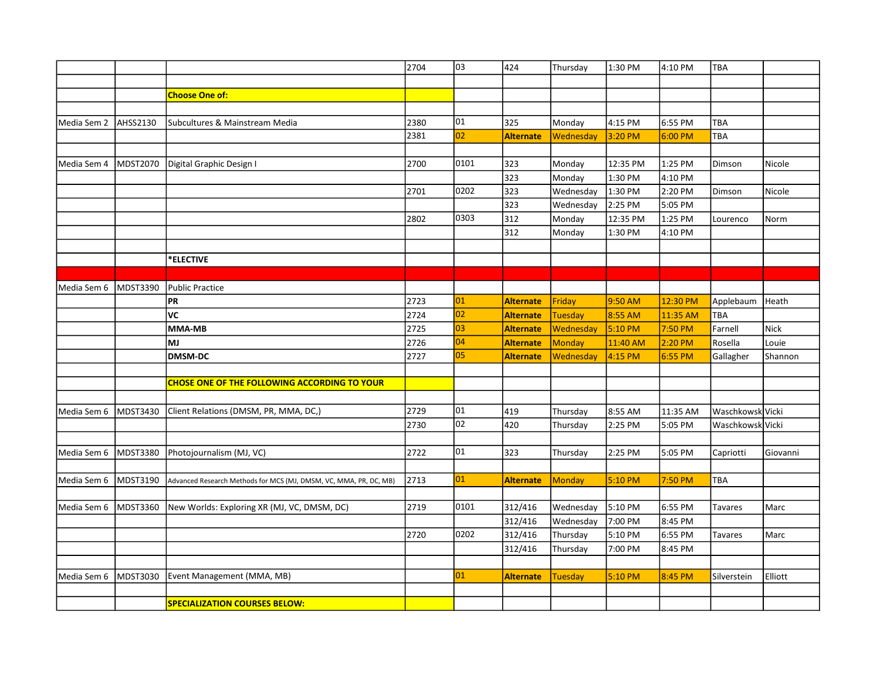|             |          |                                                                   | 2704 | lоз  | 424              | Thursday       | 1:30 PM  | 4:10 PM   | <b>TBA</b>       |             |
|-------------|----------|-------------------------------------------------------------------|------|------|------------------|----------------|----------|-----------|------------------|-------------|
|             |          |                                                                   |      |      |                  |                |          |           |                  |             |
|             |          | <b>Choose One of:</b>                                             |      |      |                  |                |          |           |                  |             |
|             |          |                                                                   |      |      |                  |                |          |           |                  |             |
| Media Sem 2 | AHSS2130 | Subcultures & Mainstream Media                                    | 2380 | 101  | 325              | Monday         | 4:15 PM  | 6:55 PM   | TBA              |             |
|             |          |                                                                   | 2381 | 02   | <b>Alternate</b> | Wednesday      | 3:20 PM  | 6:00 PM   | TBA              |             |
|             |          |                                                                   |      |      |                  |                |          |           |                  |             |
| Media Sem 4 | MDST2070 | Digital Graphic Design I                                          | 2700 | 0101 | 323              | Monday         | 12:35 PM | 1:25 PM   | Dimson           | Nicole      |
|             |          |                                                                   |      |      | 323              | Monday         | 1:30 PM  | 4:10 PM   |                  |             |
|             |          |                                                                   | 2701 | 0202 | 323              | Wednesday      | 1:30 PM  | 2:20 PM   | Dimson           | Nicole      |
|             |          |                                                                   |      |      | 323              | Wednesday      | 2:25 PM  | 5:05 PM   |                  |             |
|             |          |                                                                   | 2802 | 0303 | 312              | Monday         | 12:35 PM | 1:25 PM   | Lourenco         | Norm        |
|             |          |                                                                   |      |      | 312              | Monday         | 1:30 PM  | 4:10 PM   |                  |             |
|             |          |                                                                   |      |      |                  |                |          |           |                  |             |
|             |          | *ELECTIVE                                                         |      |      |                  |                |          |           |                  |             |
|             |          |                                                                   |      |      |                  |                |          |           |                  |             |
| Media Sem 6 | MDST3390 | <b>Public Practice</b>                                            |      |      |                  |                |          |           |                  |             |
|             |          | <b>PR</b>                                                         | 2723 | 01   | <b>Alternate</b> | Friday         | 9:50 AM  | 12:30 PM  | Applebaum        | Heath       |
|             |          | VC                                                                | 2724 | 02   | <b>Alternate</b> | <b>Tuesday</b> | 8:55 AM  | 11:35 AM  | TBA              |             |
|             |          | MMA-MB                                                            | 2725 | 03   | <b>Alternate</b> | Wednesday      | 5:10 PM  | 7:50 PM   | Farnell          | <b>Nick</b> |
|             |          | <b>MJ</b>                                                         | 2726 | 04   | <b>Alternate</b> | <b>Monday</b>  | 11:40 AM | 2:20 PM   | Rosella          | Louie       |
|             |          | <b>DMSM-DC</b>                                                    | 2727 | 05   | <b>Alternate</b> | Wednesday      | 4:15 PM  | $6:55$ PM | Gallagher        | Shannon     |
|             |          |                                                                   |      |      |                  |                |          |           |                  |             |
|             |          | <b>CHOSE ONE OF THE FOLLOWING ACCORDING TO YOUR</b>               |      |      |                  |                |          |           |                  |             |
|             |          |                                                                   |      |      |                  |                |          |           |                  |             |
| Media Sem 6 | MDST3430 | Client Relations (DMSM, PR, MMA, DC,)                             | 2729 | 101  | 419              | Thursday       | 8:55 AM  | 11:35 AM  | Waschkowsk Vicki |             |
|             |          |                                                                   | 2730 | 02   | 420              | Thursday       | 2:25 PM  | 5:05 PM   | Waschkowsk Vicki |             |
|             |          |                                                                   |      |      |                  |                |          |           |                  |             |
| Media Sem 6 | MDST3380 | Photojournalism (MJ, VC)                                          | 2722 | 01   | 323              | Thursday       | 2:25 PM  | 5:05 PM   | Capriotti        | Giovanni    |
|             |          |                                                                   |      |      |                  |                |          |           |                  |             |
| Media Sem 6 | MDST3190 | Advanced Research Methods for MCS (MJ, DMSM, VC, MMA, PR, DC, MB) | 2713 | 01   | <b>Alternate</b> | Monday         | 5:10 PM  | 7:50 PM   | TBA              |             |
|             |          |                                                                   |      |      |                  |                |          |           |                  |             |
| Media Sem 6 | MDST3360 | New Worlds: Exploring XR (MJ, VC, DMSM, DC)                       | 2719 | 0101 | 312/416          | Wednesday      | 5:10 PM  | 6:55 PM   | Tavares          | Marc        |
|             |          |                                                                   |      |      | 312/416          | Wednesday      | 7:00 PM  | 8:45 PM   |                  |             |
|             |          |                                                                   | 2720 | 0202 | 312/416          | Thursday       | 5:10 PM  | 6:55 PM   | Tavares          | Marc        |
|             |          |                                                                   |      |      | 312/416          | Thursday       | 7:00 PM  | 8:45 PM   |                  |             |
|             |          |                                                                   |      |      |                  |                |          |           |                  |             |
| Media Sem 6 | MDST3030 | Event Management (MMA, MB)                                        |      | 01   | <b>Alternate</b> | <b>Tuesday</b> | 5:10 PM  | 8:45 PM   | Silverstein      | Elliott     |
|             |          |                                                                   |      |      |                  |                |          |           |                  |             |
|             |          | <b>SPECIALIZATION COURSES BELOW:</b>                              |      |      |                  |                |          |           |                  |             |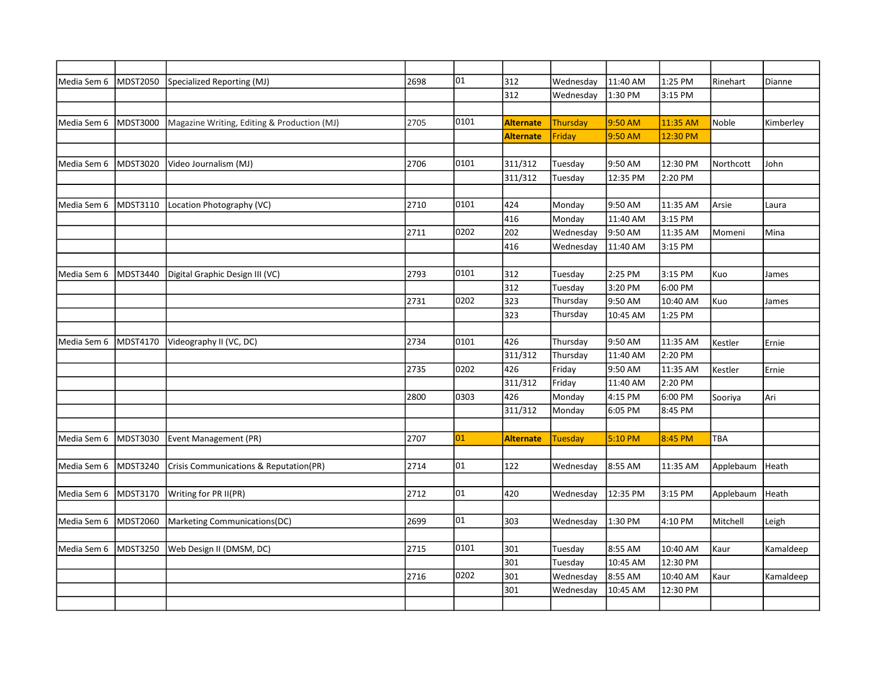| Media Sem 6 | MDST2050 | Specialized Reporting (MJ)                  | 2698 | $\overline{01}$ | 312              | Wednesday       | 11:40 AM | 1:25 PM  | Rinehart  | Dianne    |
|-------------|----------|---------------------------------------------|------|-----------------|------------------|-----------------|----------|----------|-----------|-----------|
|             |          |                                             |      |                 | 312              | Wednesday       | 1:30 PM  | 3:15 PM  |           |           |
|             |          |                                             |      |                 |                  |                 |          |          |           |           |
| Media Sem 6 | MDST3000 | Magazine Writing, Editing & Production (MJ) | 2705 | 0101            | <b>Alternate</b> | <b>Thursday</b> | 9:50 AM  | 11:35 AM | Noble     | Kimberley |
|             |          |                                             |      |                 | <b>Alternate</b> | Friday          | 9:50 AM  | 12:30 PM |           |           |
|             |          |                                             |      |                 |                  |                 |          |          |           |           |
| Media Sem 6 | MDST3020 | Video Journalism (MJ)                       | 2706 | 0101            | 311/312          | Tuesday         | 9:50 AM  | 12:30 PM | Northcott | John      |
|             |          |                                             |      |                 | 311/312          | Tuesday         | 12:35 PM | 2:20 PM  |           |           |
|             |          |                                             |      |                 |                  |                 |          |          |           |           |
| Media Sem 6 | MDST3110 | Location Photography (VC)                   | 2710 | 0101            | 424              | Monday          | 9:50 AM  | 11:35 AM | Arsie     | Laura     |
|             |          |                                             |      |                 | 416              | Monday          | 11:40 AM | 3:15 PM  |           |           |
|             |          |                                             | 2711 | 0202            | 202              | Wednesday       | 9:50 AM  | 11:35 AM | Momeni    | Mina      |
|             |          |                                             |      |                 | 416              | Wednesday       | 11:40 AM | 3:15 PM  |           |           |
|             |          |                                             |      |                 |                  |                 |          |          |           |           |
| Media Sem 6 | MDST3440 | Digital Graphic Design III (VC)             | 2793 | 0101            | 312              | Tuesday         | 2:25 PM  | 3:15 PM  | Kuo       | James     |
|             |          |                                             |      |                 | 312              | Tuesday         | 3:20 PM  | 6:00 PM  |           |           |
|             |          |                                             | 2731 | 0202            | 323              | Thursday        | 9:50 AM  | 10:40 AM | Kuo       | James     |
|             |          |                                             |      |                 | 323              | Thursday        | 10:45 AM | 1:25 PM  |           |           |
|             |          |                                             |      |                 |                  |                 |          |          |           |           |
| Media Sem 6 | MDST4170 | Videography II (VC, DC)                     | 2734 | 0101            | 426              | Thursday        | 9:50 AM  | 11:35 AM | Kestler   | Ernie     |
|             |          |                                             |      |                 | 311/312          | Thursday        | 11:40 AM | 2:20 PM  |           |           |
|             |          |                                             | 2735 | 0202            | 426              | Friday          | 9:50 AM  | 11:35 AM | Kestler   | Ernie     |
|             |          |                                             |      |                 | 311/312          | Friday          | 11:40 AM | 2:20 PM  |           |           |
|             |          |                                             | 2800 | 0303            | 426              | Monday          | 4:15 PM  | 6:00 PM  | Sooriya   | Ari       |
|             |          |                                             |      |                 | 311/312          | Monday          | 6:05 PM  | 8:45 PM  |           |           |
|             |          |                                             |      |                 |                  |                 |          |          |           |           |
| Media Sem 6 | MDST3030 | Event Management (PR)                       | 2707 | 01              | <b>Alternate</b> | <b>Tuesday</b>  | 5:10 PM  | 8:45 PM  | TBA       |           |
|             |          |                                             |      |                 |                  |                 |          |          |           |           |
| Media Sem 6 | MDST3240 | Crisis Communications & Reputation(PR)      | 2714 | 01              | 122              | Wednesday       | 8:55 AM  | 11:35 AM | Applebaum | Heath     |
|             |          |                                             |      |                 |                  |                 |          |          |           |           |
| Media Sem 6 | MDST3170 | Writing for PR II(PR)                       | 2712 | 01              | 420              | Wednesday       | 12:35 PM | 3:15 PM  | Applebaum | Heath     |
|             |          |                                             |      |                 |                  |                 |          |          |           |           |
| Media Sem 6 | MDST2060 | Marketing Communications(DC)                | 2699 | 01              | 303              | Wednesday       | 1:30 PM  | 4:10 PM  | Mitchell  | Leigh     |
|             |          |                                             |      |                 |                  |                 |          |          |           |           |
| Media Sem 6 | MDST3250 | Web Design II (DMSM, DC)                    | 2715 | 0101            | 301              | Tuesday         | 8:55 AM  | 10:40 AM | Kaur      | Kamaldeep |
|             |          |                                             |      |                 | 301              | Tuesday         | 10:45 AM | 12:30 PM |           |           |
|             |          |                                             | 2716 | 0202            | 301              | Wednesday       | 8:55 AM  | 10:40 AM | Kaur      | Kamaldeep |
|             |          |                                             |      |                 | 301              | Wednesday       | 10:45 AM | 12:30 PM |           |           |
|             |          |                                             |      |                 |                  |                 |          |          |           |           |